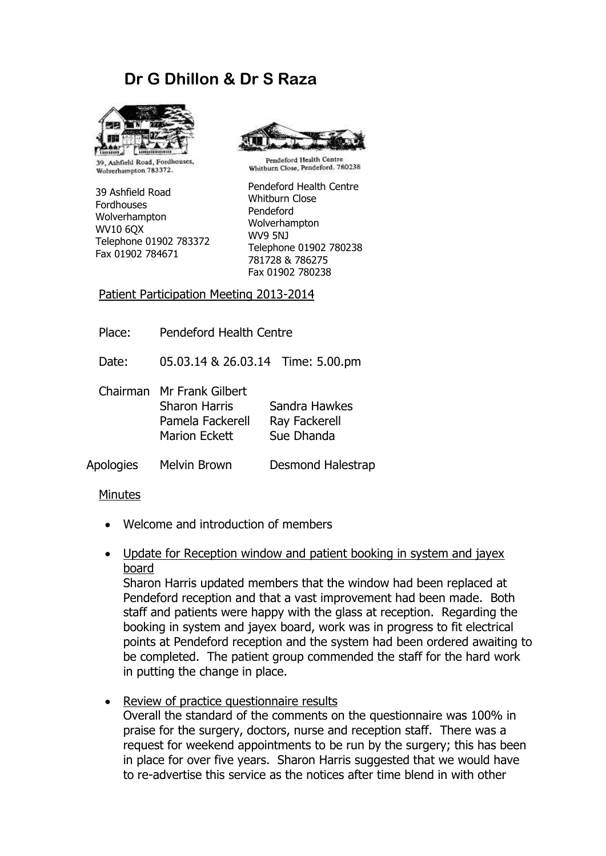## **Dr G Dhillon & Dr S Raza**



39, Ashfield Road, Fordhouses, Wolverhampton 783372.

39 Ashfield Road Fordhouses Wolverhampton WV10 6QX Telephone 01902 783372 Fax 01902 784671



Pendeford Health Centre Whitburn Close, Pendeford, 780238

Pendeford Health Centre Whitburn Close Pendeford Wolverhampton WV9 5NJ Telephone 01902 780238 781728 & 786275 Fax 01902 780238

Patient Participation Meeting 2013-2014

Place: Pendeford Health Centre

Date: 05.03.14 & 26.03.14 Time: 5.00.pm

Chairman Mr Frank Gilbert Sharon Harris Sandra Hawkes Pamela Fackerell Ray Fackerell Marion Eckett Sue Dhanda

Apologies Melvin Brown Desmond Halestrap

## Minutes

- Welcome and introduction of members
- Update for Reception window and patient booking in system and jayex board

Sharon Harris updated members that the window had been replaced at Pendeford reception and that a vast improvement had been made. Both staff and patients were happy with the glass at reception. Regarding the booking in system and jayex board, work was in progress to fit electrical points at Pendeford reception and the system had been ordered awaiting to be completed. The patient group commended the staff for the hard work in putting the change in place.

Review of practice questionnaire results

Overall the standard of the comments on the questionnaire was 100% in praise for the surgery, doctors, nurse and reception staff. There was a request for weekend appointments to be run by the surgery; this has been in place for over five years. Sharon Harris suggested that we would have to re-advertise this service as the notices after time blend in with other